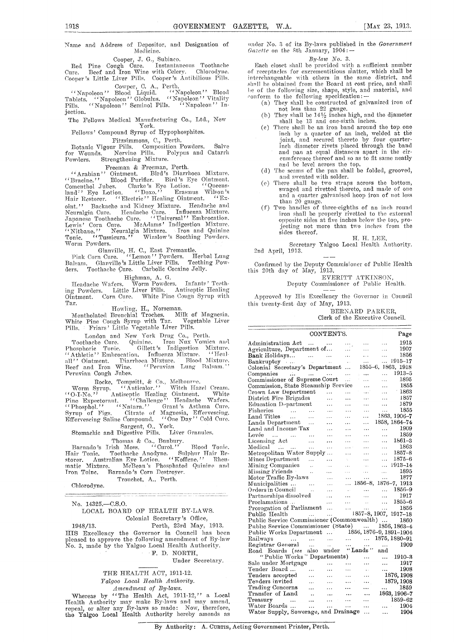Name and Address of Depositor, and Designation of Medicine.

Cooper, J. G., Subiaco. Red Pine Cough dure. Instantaneous Toothache Cure. Beef and Iron Wine with Celery. Chlorodyne. Cooper 's Little Liver Pills. Cooper's Antibilious Pills.

Cowper, C. A., Perth. "Napoleon" Blood Liquid. "Napoleon' Blood Tablets. "Napoleon" Globulus. "Napoleon" Vitality Pills. "Napoleon" Seminol Pills. "Napoleon" Injection.

The Fellows Medical Manufacturing Co., Ltd., New

York. Fellows' Compound Syrup of Hypophosphites.

## Fitzsimmons, C., Perth.

Botanic Vigour Pills. Composition Powders, Salve for Wounds. Nervine Pills. Polypus and Catarrh Botanic Vigour Fins. Composition Formation Catarrh<br>
Towndare Strengthening Mixture.

Freeman & Freeman, Perth. "Arabian" Ointment. Bird's Diarrhoea Mixture. "Bracine." Blood Purifier. Bird 's Eye Ointment. Comenthol Jubes. Clarke's Eye Lotion. "Queens-land" Eye Lotion. "Doxo." Erasmus Wilson's Hair Restorer. "Electric" Healing Ointment. " Exoint." Backache and Kidney Mixture. Headache and Neuralgia Cure. Headache Cure. Influenza Mixture. Japanese Toothache Cure. ' 'Universal" Embrocation. Lewis' Corn Cure. McAdams' Indigestion Mixture. "Nitbane." Neuralgia Mixture. Iron and Quinine Tonic. "Tussicura." Winslow's Soothing Powders. Worm Powders.

Glanville, H. C., East Fremantle. Pink Corn Cure. "Lemon" Powders. Herbal Lung Balsam. Glanville's Little Liver Pills. Teething Pow-Balsam. Glanville's Luttle Luver 1 mo.<br>ders. Toothache Cure. Carbolic Cocaine Jelly.

Highman, A. G. Headache Wafers. Worm Powders. Infants' Teething Powders. Little Liver Pills. Antiseptic Healing Ointment. Corn Cure. White Pine Cough Syrup with

Tar. Howling, H., Norseman. Mentholated Bronchial Troches. Milk of Magnesia. White Pine Cough Syrup with Tar. Vegetable Liver Friars' Little, Vegetable Liver Pills.

London and New York Drug Co., Perth. Toothache Cure. Quinine. Iron Nux Vomica and Phosphoric Tonic. Gillett's Indigestion Mixture. "Athletic" Embrocation. Influenza Mixture. "Healall'' Ointment. Diarrhoea Mixture. Blood Mixture.<br>Beef and Iron Wine. ''Peruvian Lung Balsam.'' Peruvian Cough Jubes.

Rocke, Tompsitt, & Co., Melbourne, Worm Syrup. " A nticalor." 'Witch Hazel Cream. 0-I-No." Antiseptic Healing Ointment.. White Pine Expectorant. "Challenge" Headache Wafers. "Phosphol." "Natara." Grant's Asthma Cure. Syrup of Figs. Citrate of Magnesia, Effervescing. Effervescing Saline Compound. "One Day" Cold Cure. Sargent, 0., York.

Stomachic and Digestive Pills. Liver Granules.

Thomas & Co., Banbury. Barnado's Irish Moss. "Curol." Blood Tonic. Hair Tonic. Toothache Anodyne. Sulphur Hair Re-storer. Australian Eye Lotion. "Kofilene." Rheumatic Mixture. - McBean's Phosphated Quinine and Iron Toine. Barnado's Corn Destroyer.

Tronchet, A., Perth.

Chlorodyne.

No. 14325.—C.S.O.

### LOCAL BOARD OF HEALTH BY-LAWS. Colonial Secretary's Office,

1948/13. Perth, 23rd May, 1913. TITS Excellency the Governor in Council has been pleased to approve the following amendment of By-law No. 3, made by the Yalgoo Local Health Authority.

F. D. NORTH, Under Secretary.

.<br>- Должниковни исторический статочности насти стати стати исторического исторического состояния и настояния в с<br>- Должно состативно положите совможение на совмести и настояние с состояние положительно можно исторического

THE HEALTH ACT, 1911-12. *Yalgoo Local Health Authority.* 

*Amendment of By-laws.* 

Whereas by "The Health Act, 1911-12," a Local Health Authority may make By-laws and may amend, repeal, or alter any By-laws so made: Now, therefore, the Yalgoo Local Health Authority hereby amends as

under No. 3 of its By-laws published in the *Government Gazette* on the 8th January, 1904:-

### By-law *No.* 3.

Each closet shall be provided with a sufficient number of receptacles for excrementitious matter, which shall be interchangeable with others in the same district, and shall he obtained from the Board at cost price, and shall be of the following size, shape, style, and material, and conform to the following specification:  $\frac{1}{2}$ 

- (a) They shall be constructed of galvanized iron of
- not less than 22 gauge.<br>
(b) They shall be  $14\frac{1}{2}$  inches high, and the diameter
- shall be 13 and one-sixth inches. (c) There shall be an iron band around the top one inch by a quarter of an inch, welded at the joint, and secured thereto by four quarterinch diameter rivets placed through the band and pan at equal distances apart in the circumference thereof and so as to fit same neatly and he level across the top.
- (d) The seams of the pan shall be folded, grooved,
- and sweated with solder. (e) There shall be two straps across the bottom, swaged and rivetted thereto, and made of one and a quarter galvanised hoop iron of not less than 20 gauge.
- Two handles of three-eighths of an inch round (f) iron shall be properly rivetted to the external opposite sides at five inches below tie top, projecting not more than two inches from the sides thereof.

H. H. LEE,

Secretary Yalgoo Local Health Authority. 2nd April, 1913.

Confirmed by the Deputy Commisioner of Public Health this 20th day of May, 1913.

EVERITT ATKINSON,

Deputy Commissioner of Public Health.

Approved by His Excellency the Governor in Council this twenty-first day of May, 1913.

> BERNARD PARKER, Clerk of the Executive Council.

|                                                                                                                                                    | CONTENTS.                          |                     |                                      | Page                             |
|----------------------------------------------------------------------------------------------------------------------------------------------------|------------------------------------|---------------------|--------------------------------------|----------------------------------|
| Administration Act                                                                                                                                 |                                    |                     |                                      | 1915                             |
| $\cdots$<br>Agriculture, Department of                                                                                                             |                                    |                     | .<br>.                               | .<br>1907<br>.                   |
| Bank Holidays                                                                                                                                      |                                    | $\ddotsc$           | $\ddot{\phantom{a}}$                 | 1856<br>$\cdots$                 |
|                                                                                                                                                    |                                    | .                   |                                      | 1915–17<br>$\ddotsc$             |
| Bankruptcy<br>$\mathcal{A}=\mathcal{A}(\mathcal{A})$ , where $\mathcal{A}=\mathcal{A}(\mathcal{A})$<br>Colonial Secretary's Department             |                                    | $\sim$<br>$\ddotsc$ | .                                    | 1855-6, 1863, 1918               |
| فتدارز التبدي التثكيان                                                                                                                             |                                    |                     | $\ddotsc$                            | 1913–5<br>.                      |
| Companies<br>Commissioner of Supreme Court                                                                                                         |                                    | .<br>$\ldots$       | .                                    | 1895<br>$\cdots$                 |
| Commission, State Steamship Service                                                                                                                |                                    |                     |                                      | 1855                             |
| Crown Law Department                                                                                                                               |                                    |                     | .<br>$\ddotsc$                       | $\ldots$<br>$-1863$<br>$\cdots$  |
| District Fire Brigades                                                                                                                             | $\sim$                             | $\ddotsc$           | $\ddotsc$                            | 1857<br>$\cdots$                 |
| Education Department                                                                                                                               |                                    |                     |                                      | 1879                             |
| Fisheries<br>$\cdots$                                                                                                                              | .                                  | .<br>$\cdots$       | .<br>.                               | .<br>1855<br>.                   |
| Land Titles                                                                                                                                        |                                    | $\ddotsc$           | .                                    | 1863, 1906–7                     |
| $\cdots$<br>Lands Department                                                                                                                       |                                    |                     | $\ddotsc$                            | 1858. 1864–74                    |
| Land and Income Tax                                                                                                                                |                                    | $\ddotsc$           |                                      | 1909                             |
| Levée                                                                                                                                              |                                    | $\cdots$            | $\ddotsc$                            | $\cdots$<br>1859                 |
| and a state of the state.<br>$\sim$                                                                                                                | $\cdots$                           |                     | $\cdots$                             | $\cdots$<br>1861–3<br>$\cdots$   |
| Licensing Act<br>$\ddotsc$                                                                                                                         | .                                  |                     | .<br>.                               | 1863<br>$\cdots$                 |
| Medical<br><b>Collection</b><br>$\ddotsc$                                                                                                          | .                                  | .                   |                                      | $1857 - 8$                       |
| Metropolitan Water Supply                                                                                                                          |                                    |                     | .                                    | $\cdots$<br>$1875 - 6$           |
| Mines Department<br>$\ldots$                                                                                                                       | .                                  | $\epsilon_{\rm{2}}$ |                                      | $\cdots$<br>$1913 - 14$          |
| Mining Companies<br>$\ddot{\phantom{a}}$                                                                                                           | $\ddotsc$                          | $\sim$              | $\sim$ .                             | $\cdots$<br>1895                 |
| Missing Friends<br>$\ddot{\phantom{a}}$                                                                                                            |                                    | .                   | .                                    | $\cdots$<br>1877                 |
| Motor Traffic By-laws                                                                                                                              | $\ddotsc$                          | $\ddotsc$           | $\cdots$                             | $\cdots$<br>1856-8, 1876-7, 1913 |
| Municipalities<br><b>Contractor</b>                                                                                                                | $\ddotsc$                          | .                   |                                      | $\dots$ 1856-9                   |
| Orders in Council<br>$\ddot{\phantom{1}}$                                                                                                          | $\cdots$                           | $\mathbf{r}$ .      | $\mathbf{L} \mathbf{L} \mathbf{R}$ . | 1917                             |
| Partnerships dissolved                                                                                                                             |                                    | $\cdots$            | $\mathbf{1}$                         | $\cdots$<br>1855–6               |
| Proclamations                                                                                                                                      | .                                  | $\cdots$            | $\sim 10^{-1}$                       | $\cdots$<br>1856                 |
| Prorogation of Parliament                                                                                                                          | $\ddotsc$                          | $\cdots$            | $\ldots$                             | $\ddotsc$                        |
| $\mathcal{L}^{\text{max}}_{\text{max}}$ and $\mathcal{L}^{\text{max}}_{\text{max}}$<br>Public Health<br>Public Service Commissioner (Commonwealth) | $\ddotsc$                          |                     |                                      | 1857-8, 1907, 1917-18            |
| Public Service Commissioner (State)                                                                                                                |                                    |                     |                                      | 1860                             |
|                                                                                                                                                    |                                    |                     |                                      | 1856, 1863-4                     |
| Public Works Department  1856, 1876-9, 1891-1904                                                                                                   |                                    |                     |                                      | 1875, 1880-91                    |
| Railways<br>$\sim$<br>$\cdots$                                                                                                                     | $\cdots$                           |                     | an an<br>An An                       |                                  |
| Registrar General<br>$\sim$ $\sim$                                                                                                                 | $\mathbb{Z}^{\mathbb{Z}^{\times}}$ |                     | $\mathbf{r}$ , $\mathbf{r}$          | 1909<br>asset in                 |
| Road Boards (see                                                                                                                                   | also under "Lands"                 |                     |                                      | and                              |
| "Public Works" Departments)                                                                                                                        |                                    |                     | .                                    | 1910–3                           |
| Sale under Mortgage                                                                                                                                |                                    |                     | .                                    | 1917<br>.                        |
| Tender Board                                                                                                                                       | $\cdots$                           | $\ddotsc$           | $\sim$                               | $\mathbf{L}$<br>1908             |
| Tenders accepted<br>$\cdots$                                                                                                                       | $\cdots$                           |                     |                                      | 1876, 1908                       |
| Tenders invited<br>.                                                                                                                               | $\ddotsc$                          |                     |                                      | 1879, 1908                       |
| Trading Concerns<br>$\ddotsc$                                                                                                                      | .                                  |                     | .                                    | 1859<br>$\cdots$                 |
| Transfer of Land<br>$\ddot{\phantom{a}}$                                                                                                           |                                    |                     |                                      | 1863, 1906-7                     |
| Treasury<br>$\ddotsc$                                                                                                                              | .                                  |                     |                                      | 1859-62                          |
| Water Boards<br>$\cdots$                                                                                                                           | $\cdots$                           | .                   | .                                    | 1904<br>.                        |
| Water Supply, Sewerage, and Drainage                                                                                                               |                                    |                     | .                                    | 1904<br>.                        |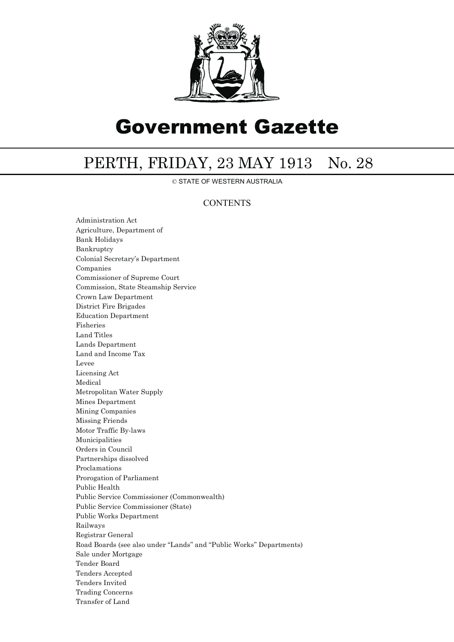

# Government Gazette

## PERTH, FRIDAY, 23 MAY 1913 No. 28

© STATE OF WESTERN AUSTRALIA

## **CONTENTS**

Administration Act Agriculture, Department of Bank Holidays Bankruptcy Colonial Secretary's Department Companies Commissioner of Supreme Court Commission, State Steamship Service Crown Law Department District Fire Brigades Education Department Fisheries Land Titles Lands Department Land and Income Tax Levee Licensing Act Medical Metropolitan Water Supply Mines Department Mining Companies Missing Friends Motor Traffic By-laws Municipalities Orders in Council Partnerships dissolved Proclamations Prorogation of Parliament Public Health Public Service Commissioner (Commonwealth) Public Service Commissioner (State) Public Works Department Railways Registrar General Road Boards (see also under ''Lands'' and ''Public Works'' Departments) Sale under Mortgage Tender Board Tenders Accepted Tenders Invited Trading Concerns Transfer of Land